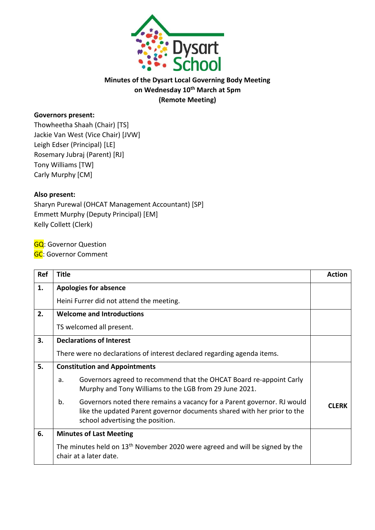

## **Minutes of the Dysart Local Governing Body Meeting on Wednesday 10 th March at 5pm (Remote Meeting)**

## **Governors present:**

Thowheetha Shaah (Chair) [TS] Jackie Van West (Vice Chair) [JVW] Leigh Edser (Principal) [LE] Rosemary Jubraj (Parent) [RJ] Tony Williams [TW] Carly Murphy [CM]

## **Also present:**

Sharyn Purewal (OHCAT Management Accountant) [SP] Emmett Murphy (Deputy Principal) [EM] Kelly Collett (Clerk)

**GQ**: Governor Question

**GC**: Governor Comment

| Ref | <b>Title</b>                                                                                                                                                                                 | <b>Action</b> |
|-----|----------------------------------------------------------------------------------------------------------------------------------------------------------------------------------------------|---------------|
| 1.  | <b>Apologies for absence</b>                                                                                                                                                                 |               |
|     | Heini Furrer did not attend the meeting.                                                                                                                                                     |               |
| 2.  | <b>Welcome and Introductions</b>                                                                                                                                                             |               |
|     | TS welcomed all present.                                                                                                                                                                     |               |
| 3.  | <b>Declarations of Interest</b>                                                                                                                                                              |               |
|     | There were no declarations of interest declared regarding agenda items.                                                                                                                      |               |
| 5.  | <b>Constitution and Appointments</b>                                                                                                                                                         |               |
|     | Governors agreed to recommend that the OHCAT Board re-appoint Carly<br>a.<br>Murphy and Tony Williams to the LGB from 29 June 2021.                                                          |               |
|     | b.<br>Governors noted there remains a vacancy for a Parent governor. RJ would<br>like the updated Parent governor documents shared with her prior to the<br>school advertising the position. | <b>CLERK</b>  |
| 6.  | <b>Minutes of Last Meeting</b>                                                                                                                                                               |               |
|     | The minutes held on 13 <sup>th</sup> November 2020 were agreed and will be signed by the<br>chair at a later date.                                                                           |               |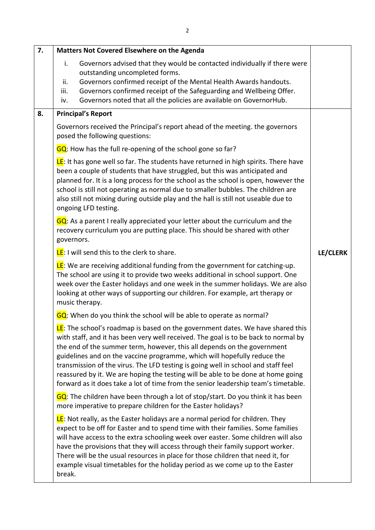| 7. | Matters Not Covered Elsewhere on the Agenda                                                                                                                                                                                                                                                                                                                                                                                                                                                                                                                                                        |          |
|----|----------------------------------------------------------------------------------------------------------------------------------------------------------------------------------------------------------------------------------------------------------------------------------------------------------------------------------------------------------------------------------------------------------------------------------------------------------------------------------------------------------------------------------------------------------------------------------------------------|----------|
|    | i.<br>Governors advised that they would be contacted individually if there were<br>outstanding uncompleted forms.<br>Governors confirmed receipt of the Mental Health Awards handouts.<br>ii.<br>Governors confirmed receipt of the Safeguarding and Wellbeing Offer.<br>iii.<br>Governors noted that all the policies are available on GovernorHub.<br>iv.                                                                                                                                                                                                                                        |          |
| 8. | <b>Principal's Report</b>                                                                                                                                                                                                                                                                                                                                                                                                                                                                                                                                                                          |          |
|    | Governors received the Principal's report ahead of the meeting. the governors<br>posed the following questions:                                                                                                                                                                                                                                                                                                                                                                                                                                                                                    |          |
|    | GQ: How has the full re-opening of the school gone so far?                                                                                                                                                                                                                                                                                                                                                                                                                                                                                                                                         |          |
|    | LE: It has gone well so far. The students have returned in high spirits. There have<br>been a couple of students that have struggled, but this was anticipated and<br>planned for. It is a long process for the school as the school is open, however the<br>school is still not operating as normal due to smaller bubbles. The children are<br>also still not mixing during outside play and the hall is still not useable due to<br>ongoing LFD testing.                                                                                                                                        |          |
|    | GQ: As a parent I really appreciated your letter about the curriculum and the<br>recovery curriculum you are putting place. This should be shared with other<br>governors.                                                                                                                                                                                                                                                                                                                                                                                                                         |          |
|    | LE: I will send this to the clerk to share.                                                                                                                                                                                                                                                                                                                                                                                                                                                                                                                                                        | LE/CLERK |
|    | <b>LE:</b> We are receiving additional funding from the government for catching-up.<br>The school are using it to provide two weeks additional in school support. One<br>week over the Easter holidays and one week in the summer holidays. We are also<br>looking at other ways of supporting our children. For example, art therapy or<br>music therapy.                                                                                                                                                                                                                                         |          |
|    | GQ: When do you think the school will be able to operate as normal?                                                                                                                                                                                                                                                                                                                                                                                                                                                                                                                                |          |
|    | <b>LE:</b> The school's roadmap is based on the government dates. We have shared this<br>with staff, and it has been very well received. The goal is to be back to normal by<br>the end of the summer term, however, this all depends on the government<br>guidelines and on the vaccine programme, which will hopefully reduce the<br>transmission of the virus. The LFD testing is going well in school and staff feel<br>reassured by it. We are hoping the testing will be able to be done at home going<br>forward as it does take a lot of time from the senior leadership team's timetable. |          |
|    | GQ: The children have been through a lot of stop/start. Do you think it has been<br>more imperative to prepare children for the Easter holidays?                                                                                                                                                                                                                                                                                                                                                                                                                                                   |          |
|    | LE: Not really, as the Easter holidays are a normal period for children. They<br>expect to be off for Easter and to spend time with their families. Some families<br>will have access to the extra schooling week over easter. Some children will also<br>have the provisions that they will access through their family support worker.<br>There will be the usual resources in place for those children that need it, for<br>example visual timetables for the holiday period as we come up to the Easter<br>break.                                                                              |          |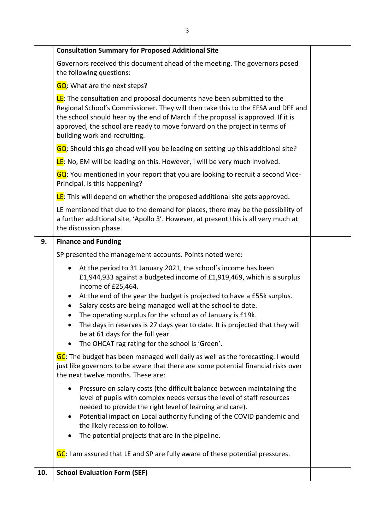|     | <b>Consultation Summary for Proposed Additional Site</b>                                                                                                                                                                                                                                                                                                                                                                                                                                                                                                               |  |
|-----|------------------------------------------------------------------------------------------------------------------------------------------------------------------------------------------------------------------------------------------------------------------------------------------------------------------------------------------------------------------------------------------------------------------------------------------------------------------------------------------------------------------------------------------------------------------------|--|
|     | Governors received this document ahead of the meeting. The governors posed<br>the following questions:                                                                                                                                                                                                                                                                                                                                                                                                                                                                 |  |
|     | GQ: What are the next steps?                                                                                                                                                                                                                                                                                                                                                                                                                                                                                                                                           |  |
|     | <b>LE:</b> The consultation and proposal documents have been submitted to the<br>Regional School's Commissioner. They will then take this to the EFSA and DFE and<br>the school should hear by the end of March if the proposal is approved. If it is<br>approved, the school are ready to move forward on the project in terms of<br>building work and recruiting.                                                                                                                                                                                                    |  |
|     | GQ: Should this go ahead will you be leading on setting up this additional site?                                                                                                                                                                                                                                                                                                                                                                                                                                                                                       |  |
|     | <b>LE:</b> No, EM will be leading on this. However, I will be very much involved.                                                                                                                                                                                                                                                                                                                                                                                                                                                                                      |  |
|     | GQ: You mentioned in your report that you are looking to recruit a second Vice-<br>Principal. Is this happening?                                                                                                                                                                                                                                                                                                                                                                                                                                                       |  |
|     | <b>LE</b> : This will depend on whether the proposed additional site gets approved.                                                                                                                                                                                                                                                                                                                                                                                                                                                                                    |  |
|     | LE mentioned that due to the demand for places, there may be the possibility of<br>a further additional site, 'Apollo 3'. However, at present this is all very much at<br>the discussion phase.                                                                                                                                                                                                                                                                                                                                                                        |  |
| 9.  | <b>Finance and Funding</b>                                                                                                                                                                                                                                                                                                                                                                                                                                                                                                                                             |  |
|     | SP presented the management accounts. Points noted were:                                                                                                                                                                                                                                                                                                                                                                                                                                                                                                               |  |
|     | At the period to 31 January 2021, the school's income has been<br>£1,944,933 against a budgeted income of £1,919,469, which is a surplus<br>income of £25,464.<br>At the end of the year the budget is projected to have a £55k surplus.<br>$\bullet$<br>Salary costs are being managed well at the school to date.<br>The operating surplus for the school as of January is £19k.<br>The days in reserves is 27 days year to date. It is projected that they will<br>be at 61 days for the full year.<br>The OHCAT rag rating for the school is 'Green'.<br>$\bullet$ |  |
|     | GC: The budget has been managed well daily as well as the forecasting. I would<br>just like governors to be aware that there are some potential financial risks over<br>the next twelve months. These are:                                                                                                                                                                                                                                                                                                                                                             |  |
|     | Pressure on salary costs (the difficult balance between maintaining the<br>level of pupils with complex needs versus the level of staff resources<br>needed to provide the right level of learning and care).<br>Potential impact on Local authority funding of the COVID pandemic and<br>$\bullet$<br>the likely recession to follow.<br>The potential projects that are in the pipeline.<br>$\bullet$                                                                                                                                                                |  |
|     | GC: I am assured that LE and SP are fully aware of these potential pressures.                                                                                                                                                                                                                                                                                                                                                                                                                                                                                          |  |
| 10. | <b>School Evaluation Form (SEF)</b>                                                                                                                                                                                                                                                                                                                                                                                                                                                                                                                                    |  |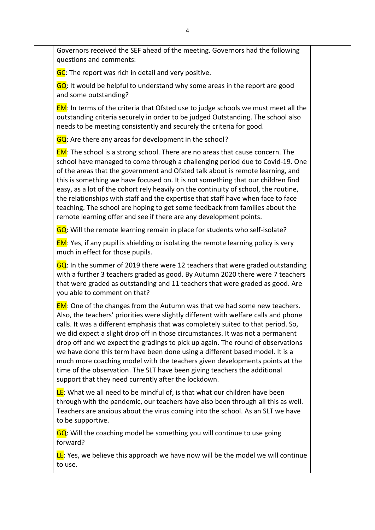Governors received the SEF ahead of the meeting. Governors had the following questions and comments:

GC: The report was rich in detail and very positive.

 $GQ$ : It would be helpful to understand why some areas in the report are good and some outstanding?

EM: In terms of the criteria that Ofsted use to judge schools we must meet all the outstanding criteria securely in order to be judged Outstanding. The school also needs to be meeting consistently and securely the criteria for good.

GQ: Are there any areas for development in the school?

EM: The school is a strong school. There are no areas that cause concern. The school have managed to come through a challenging period due to Covid-19. One of the areas that the government and Ofsted talk about is remote learning, and this is something we have focused on. It is not something that our children find easy, as a lot of the cohort rely heavily on the continuity of school, the routine, the relationships with staff and the expertise that staff have when face to face teaching. The school are hoping to get some feedback from families about the remote learning offer and see if there are any development points.

GQ: Will the remote learning remain in place for students who self-isolate?

**EM:** Yes, if any pupil is shielding or isolating the remote learning policy is very much in effect for those pupils.

 $GQ$ : In the summer of 2019 there were 12 teachers that were graded outstanding with a further 3 teachers graded as good. By Autumn 2020 there were 7 teachers that were graded as outstanding and 11 teachers that were graded as good. Are you able to comment on that?

**EM:** One of the changes from the Autumn was that we had some new teachers. Also, the teachers' priorities were slightly different with welfare calls and phone calls. It was a different emphasis that was completely suited to that period. So, we did expect a slight drop off in those circumstances. It was not a permanent drop off and we expect the gradings to pick up again. The round of observations we have done this term have been done using a different based model. It is a much more coaching model with the teachers given developments points at the time of the observation. The SLT have been giving teachers the additional support that they need currently after the lockdown.

LE: What we all need to be mindful of, is that what our children have been through with the pandemic, our teachers have also been through all this as well. Teachers are anxious about the virus coming into the school. As an SLT we have to be supportive.

 $GQ$ : Will the coaching model be something you will continue to use going forward?

LE: Yes, we believe this approach we have now will be the model we will continue to use.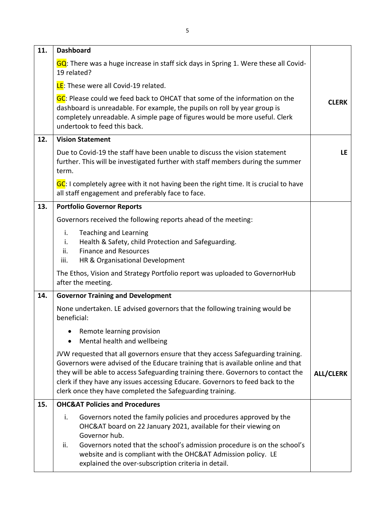| 11. | <b>Dashboard</b>                                                                                                                                                                                                                                                                                                                                                                                        |                  |
|-----|---------------------------------------------------------------------------------------------------------------------------------------------------------------------------------------------------------------------------------------------------------------------------------------------------------------------------------------------------------------------------------------------------------|------------------|
|     | GQ: There was a huge increase in staff sick days in Spring 1. Were these all Covid-<br>19 related?                                                                                                                                                                                                                                                                                                      |                  |
|     | LE: These were all Covid-19 related.                                                                                                                                                                                                                                                                                                                                                                    |                  |
|     | GC: Please could we feed back to OHCAT that some of the information on the<br>dashboard is unreadable. For example, the pupils on roll by year group is<br>completely unreadable. A simple page of figures would be more useful. Clerk<br>undertook to feed this back.                                                                                                                                  | <b>CLERK</b>     |
| 12. | <b>Vision Statement</b>                                                                                                                                                                                                                                                                                                                                                                                 |                  |
|     | Due to Covid-19 the staff have been unable to discuss the vision statement<br>further. This will be investigated further with staff members during the summer<br>term.                                                                                                                                                                                                                                  | <b>LE</b>        |
|     | GC: I completely agree with it not having been the right time. It is crucial to have<br>all staff engagement and preferably face to face.                                                                                                                                                                                                                                                               |                  |
| 13. | <b>Portfolio Governor Reports</b>                                                                                                                                                                                                                                                                                                                                                                       |                  |
|     | Governors received the following reports ahead of the meeting:                                                                                                                                                                                                                                                                                                                                          |                  |
|     | i.<br><b>Teaching and Learning</b><br>Health & Safety, child Protection and Safeguarding.<br>i.<br><b>Finance and Resources</b><br>ii.<br>HR & Organisational Development<br>iii.                                                                                                                                                                                                                       |                  |
|     | The Ethos, Vision and Strategy Portfolio report was uploaded to GovernorHub<br>after the meeting.                                                                                                                                                                                                                                                                                                       |                  |
| 14. | <b>Governor Training and Development</b>                                                                                                                                                                                                                                                                                                                                                                |                  |
|     | None undertaken. LE advised governors that the following training would be<br>beneficial:                                                                                                                                                                                                                                                                                                               |                  |
|     | Remote learning provision<br>Mental health and wellbeing                                                                                                                                                                                                                                                                                                                                                |                  |
|     | JVW requested that all governors ensure that they access Safeguarding training.<br>Governors were advised of the Educare training that is available online and that<br>they will be able to access Safeguarding training there. Governors to contact the<br>clerk if they have any issues accessing Educare. Governors to feed back to the<br>clerk once they have completed the Safeguarding training. | <b>ALL/CLERK</b> |
| 15. | <b>OHC&amp;AT Policies and Procedures</b>                                                                                                                                                                                                                                                                                                                                                               |                  |
|     | i.<br>Governors noted the family policies and procedures approved by the<br>OHC&AT board on 22 January 2021, available for their viewing on<br>Governor hub.<br>Governors noted that the school's admission procedure is on the school's<br>ii.                                                                                                                                                         |                  |
|     | website and is compliant with the OHC&AT Admission policy. LE<br>explained the over-subscription criteria in detail.                                                                                                                                                                                                                                                                                    |                  |